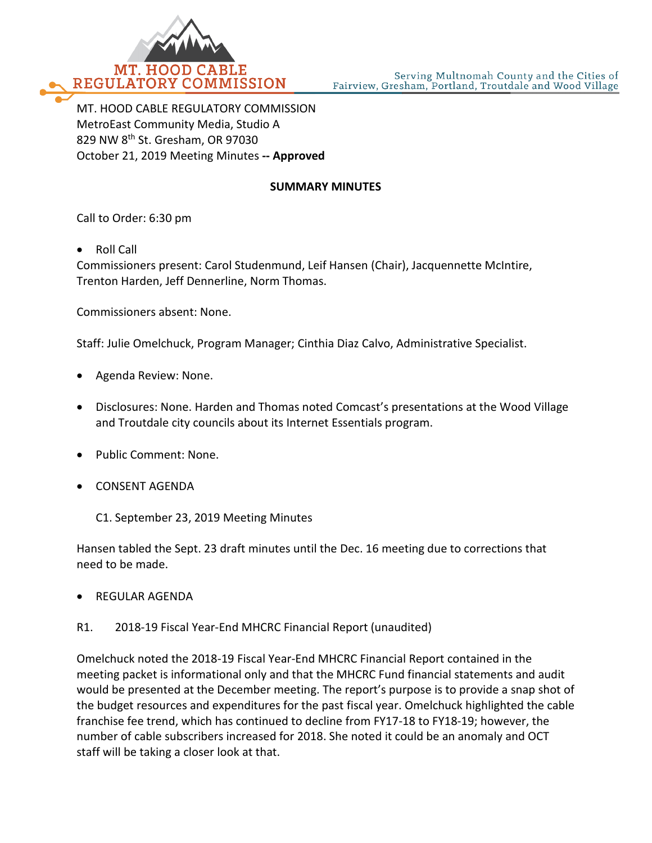

MT. HOOD CABLE REGULATORY COMMISSION MetroEast Community Media, Studio A 829 NW 8th St. Gresham, OR 97030 October 21, 2019 Meeting Minutes **-- Approved**

#### **SUMMARY MINUTES**

Call to Order: 6:30 pm

• Roll Call

Commissioners present: Carol Studenmund, Leif Hansen (Chair), Jacquennette McIntire, Trenton Harden, Jeff Dennerline, Norm Thomas.

Commissioners absent: None.

Staff: Julie Omelchuck, Program Manager; Cinthia Diaz Calvo, Administrative Specialist.

- Agenda Review: None.
- Disclosures: None. Harden and Thomas noted Comcast's presentations at the Wood Village and Troutdale city councils about its Internet Essentials program.
- Public Comment: None.
- CONSENT AGENDA

C1. September 23, 2019 Meeting Minutes

Hansen tabled the Sept. 23 draft minutes until the Dec. 16 meeting due to corrections that need to be made.

• REGULAR AGENDA

R1. 2018-19 Fiscal Year-End MHCRC Financial Report (unaudited)

Omelchuck noted the 2018-19 Fiscal Year-End MHCRC Financial Report contained in the meeting packet is informational only and that the MHCRC Fund financial statements and audit would be presented at the December meeting. The report's purpose is to provide a snap shot of the budget resources and expenditures for the past fiscal year. Omelchuck highlighted the cable franchise fee trend, which has continued to decline from FY17-18 to FY18-19; however, the number of cable subscribers increased for 2018. She noted it could be an anomaly and OCT staff will be taking a closer look at that.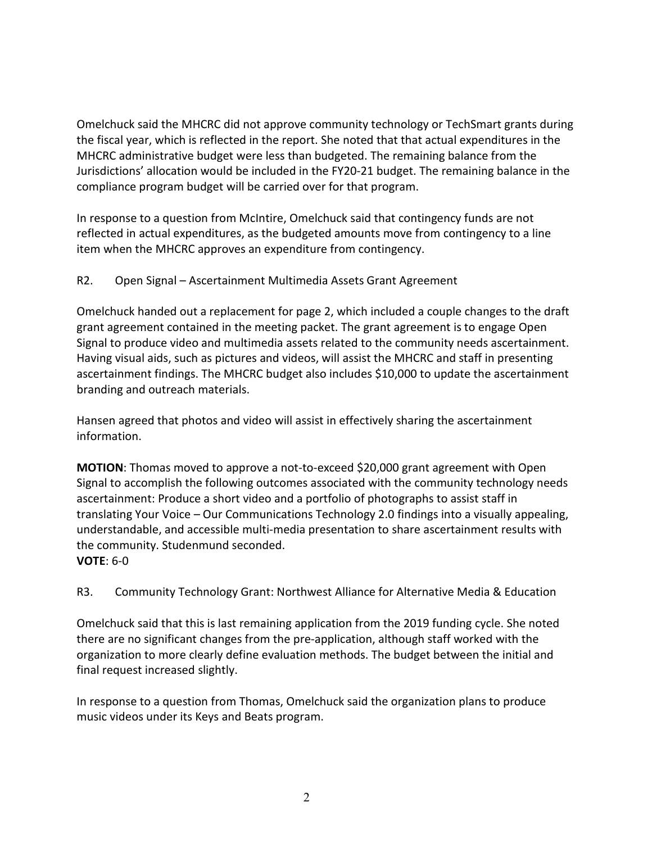Omelchuck said the MHCRC did not approve community technology or TechSmart grants during the fiscal year, which is reflected in the report. She noted that that actual expenditures in the MHCRC administrative budget were less than budgeted. The remaining balance from the Jurisdictions' allocation would be included in the FY20-21 budget. The remaining balance in the compliance program budget will be carried over for that program.

In response to a question from McIntire, Omelchuck said that contingency funds are not reflected in actual expenditures, as the budgeted amounts move from contingency to a line item when the MHCRC approves an expenditure from contingency.

### R2. Open Signal – Ascertainment Multimedia Assets Grant Agreement

Omelchuck handed out a replacement for page 2, which included a couple changes to the draft grant agreement contained in the meeting packet. The grant agreement is to engage Open Signal to produce video and multimedia assets related to the community needs ascertainment. Having visual aids, such as pictures and videos, will assist the MHCRC and staff in presenting ascertainment findings. The MHCRC budget also includes \$10,000 to update the ascertainment branding and outreach materials.

Hansen agreed that photos and video will assist in effectively sharing the ascertainment information.

**MOTION**: Thomas moved to approve a not-to-exceed \$20,000 grant agreement with Open Signal to accomplish the following outcomes associated with the community technology needs ascertainment: Produce a short video and a portfolio of photographs to assist staff in translating Your Voice – Our Communications Technology 2.0 findings into a visually appealing, understandable, and accessible multi-media presentation to share ascertainment results with the community. Studenmund seconded. **VOTE**: 6-0

## R3. Community Technology Grant: Northwest Alliance for Alternative Media & Education

Omelchuck said that this is last remaining application from the 2019 funding cycle. She noted there are no significant changes from the pre-application, although staff worked with the organization to more clearly define evaluation methods. The budget between the initial and final request increased slightly.

In response to a question from Thomas, Omelchuck said the organization plans to produce music videos under its Keys and Beats program.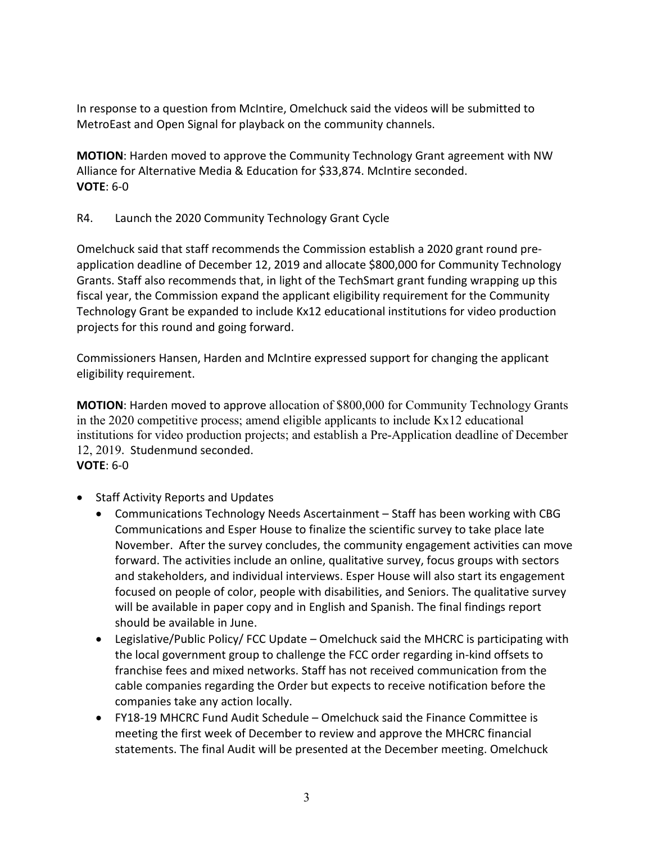In response to a question from McIntire, Omelchuck said the videos will be submitted to MetroEast and Open Signal for playback on the community channels.

**MOTION**: Harden moved to approve the Community Technology Grant agreement with NW Alliance for Alternative Media & Education for \$33,874. McIntire seconded. **VOTE**: 6-0

#### R4. Launch the 2020 Community Technology Grant Cycle

Omelchuck said that staff recommends the Commission establish a 2020 grant round preapplication deadline of December 12, 2019 and allocate \$800,000 for Community Technology Grants. Staff also recommends that, in light of the TechSmart grant funding wrapping up this fiscal year, the Commission expand the applicant eligibility requirement for the Community Technology Grant be expanded to include Kx12 educational institutions for video production projects for this round and going forward.

Commissioners Hansen, Harden and McIntire expressed support for changing the applicant eligibility requirement.

**MOTION**: Harden moved to approve allocation of \$800,000 for Community Technology Grants in the 2020 competitive process; amend eligible applicants to include Kx12 educational institutions for video production projects; and establish a Pre-Application deadline of December 12, 2019. Studenmund seconded.

# **VOTE**: 6-0

- Staff Activity Reports and Updates
	- Communications Technology Needs Ascertainment Staff has been working with CBG Communications and Esper House to finalize the scientific survey to take place late November. After the survey concludes, the community engagement activities can move forward. The activities include an online, qualitative survey, focus groups with sectors and stakeholders, and individual interviews. Esper House will also start its engagement focused on people of color, people with disabilities, and Seniors. The qualitative survey will be available in paper copy and in English and Spanish. The final findings report should be available in June.
	- Legislative/Public Policy/ FCC Update Omelchuck said the MHCRC is participating with the local government group to challenge the FCC order regarding in-kind offsets to franchise fees and mixed networks. Staff has not received communication from the cable companies regarding the Order but expects to receive notification before the companies take any action locally.
	- FY18-19 MHCRC Fund Audit Schedule Omelchuck said the Finance Committee is meeting the first week of December to review and approve the MHCRC financial statements. The final Audit will be presented at the December meeting. Omelchuck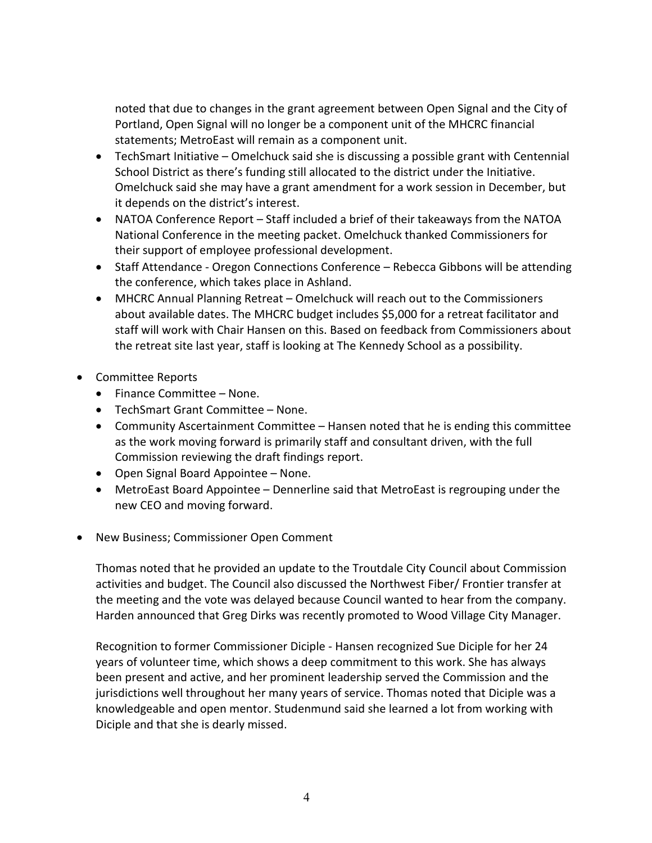noted that due to changes in the grant agreement between Open Signal and the City of Portland, Open Signal will no longer be a component unit of the MHCRC financial statements; MetroEast will remain as a component unit.

- TechSmart Initiative Omelchuck said she is discussing a possible grant with Centennial School District as there's funding still allocated to the district under the Initiative. Omelchuck said she may have a grant amendment for a work session in December, but it depends on the district's interest.
- NATOA Conference Report Staff included a brief of their takeaways from the NATOA National Conference in the meeting packet. Omelchuck thanked Commissioners for their support of employee professional development.
- Staff Attendance Oregon Connections Conference Rebecca Gibbons will be attending the conference, which takes place in Ashland.
- MHCRC Annual Planning Retreat Omelchuck will reach out to the Commissioners about available dates. The MHCRC budget includes \$5,000 for a retreat facilitator and staff will work with Chair Hansen on this. Based on feedback from Commissioners about the retreat site last year, staff is looking at The Kennedy School as a possibility.
- Committee Reports
	- Finance Committee None.
	- TechSmart Grant Committee None.
	- Community Ascertainment Committee Hansen noted that he is ending this committee as the work moving forward is primarily staff and consultant driven, with the full Commission reviewing the draft findings report.
	- Open Signal Board Appointee None.
	- MetroEast Board Appointee Dennerline said that MetroEast is regrouping under the new CEO and moving forward.
- New Business; Commissioner Open Comment

Thomas noted that he provided an update to the Troutdale City Council about Commission activities and budget. The Council also discussed the Northwest Fiber/ Frontier transfer at the meeting and the vote was delayed because Council wanted to hear from the company. Harden announced that Greg Dirks was recently promoted to Wood Village City Manager.

Recognition to former Commissioner Diciple - Hansen recognized Sue Diciple for her 24 years of volunteer time, which shows a deep commitment to this work. She has always been present and active, and her prominent leadership served the Commission and the jurisdictions well throughout her many years of service. Thomas noted that Diciple was a knowledgeable and open mentor. Studenmund said she learned a lot from working with Diciple and that she is dearly missed.